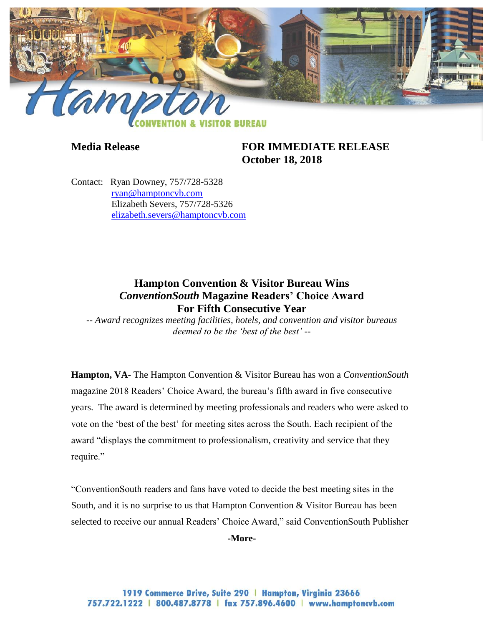

**Media Release FOR IMMEDIATE RELEASE October 18, 2018**

Contact: Ryan Downey, 757/728-5328 [ryan@hamptoncvb.com](mailto:ryan@hamptoncvb.com) Elizabeth Severs, 757/728-5326 [elizabeth.severs@hamptoncvb.com](mailto:elizabeth.severs@hamptoncvb.com)

## **Hampton Convention & Visitor Bureau Wins** *ConventionSouth* **Magazine Readers' Choice Award For Fifth Consecutive Year**

*-- Award recognizes meeting facilities, hotels, and convention and visitor bureaus deemed to be the 'best of the best' --*

**Hampton, VA-** The Hampton Convention & Visitor Bureau has won a *ConventionSouth*  magazine 2018 Readers' Choice Award, the bureau's fifth award in five consecutive years. The award is determined by meeting professionals and readers who were asked to vote on the 'best of the best' for meeting sites across the South. Each recipient of the award "displays the commitment to professionalism, creativity and service that they require."

"ConventionSouth readers and fans have voted to decide the best meeting sites in the South, and it is no surprise to us that Hampton Convention & Visitor Bureau has been selected to receive our annual Readers' Choice Award," said ConventionSouth Publisher

**-More-**